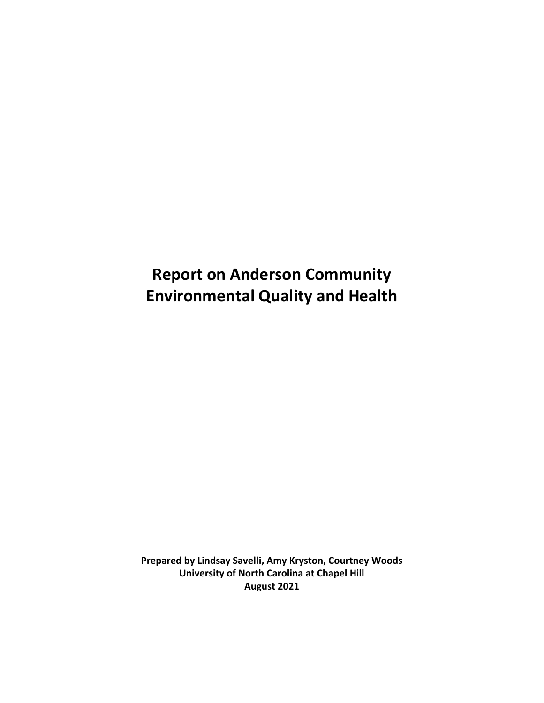# **Report on Anderson Community Environmental Quality and Health**

**Prepared by Lindsay Savelli, Amy Kryston, Courtney Woods University of North Carolina at Chapel Hill August 2021**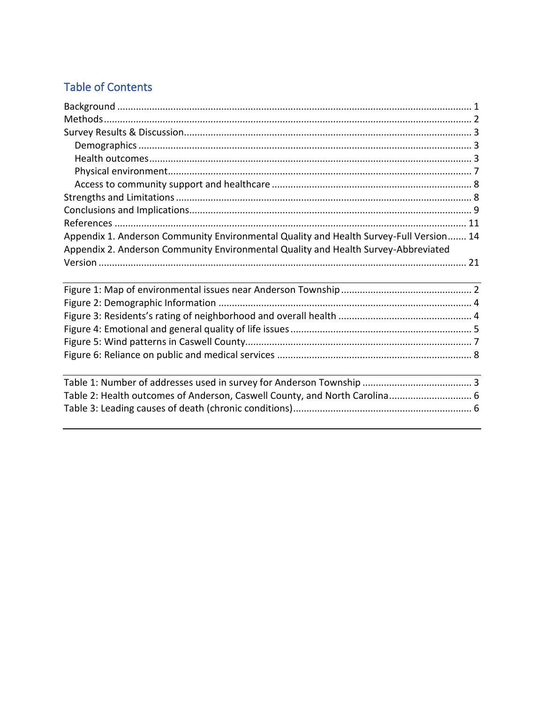# **Table of Contents**

| Appendix 1. Anderson Community Environmental Quality and Health Survey-Full Version 14 |  |
|----------------------------------------------------------------------------------------|--|
| Appendix 2. Anderson Community Environmental Quality and Health Survey-Abbreviated     |  |
|                                                                                        |  |
|                                                                                        |  |
|                                                                                        |  |
|                                                                                        |  |
|                                                                                        |  |
|                                                                                        |  |
|                                                                                        |  |
|                                                                                        |  |
|                                                                                        |  |
|                                                                                        |  |
| Table 2: Health outcomes of Anderson, Caswell County, and North Carolina 6             |  |
|                                                                                        |  |
|                                                                                        |  |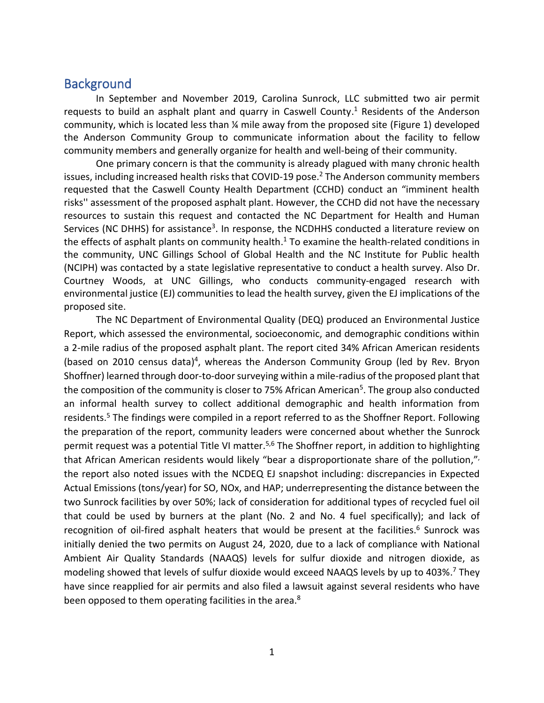## <span id="page-2-0"></span>**Background**

In September and November 2019, Carolina Sunrock, LLC submitted two air permit requests to build an asphalt plant and quarry in Caswell County.<sup>1</sup> Residents of the Anderson community, which is located less than ¼ mile away from the proposed site (Figure 1) developed the Anderson Community Group to communicate information about the facility to fellow community members and generally organize for health and well-being of their community.

One primary concern is that the community is already plagued with many chronic health issues, including increased health risks that COVID-19 pose.<sup>2</sup> The Anderson community members requested that the Caswell County Health Department (CCHD) conduct an "imminent health risks'' assessment of the proposed asphalt plant. However, the CCHD did not have the necessary resources to sustain this request and contacted the NC Department for Health and Human Services (NC DHHS) for assistance<sup>3</sup>. In response, the NCDHHS conducted a literature review on the effects of asphalt plants on community health. <sup>1</sup> To examine the health-related conditions in the community, UNC Gillings School of Global Health and the NC Institute for Public health (NCIPH) was contacted by a state legislative representative to conduct a health survey. Also Dr. Courtney Woods, at UNC Gillings, who conducts community-engaged research with environmental justice (EJ) communities to lead the health survey, given the EJ implications of the proposed site.

The NC Department of Environmental Quality (DEQ) produced an Environmental Justice Report, which assessed the environmental, socioeconomic, and demographic conditions within a 2-mile radius of the proposed asphalt plant. The report cited 34% African American residents (based on 2010 census data)<sup>4</sup>, whereas the Anderson Community Group (led by Rev. Bryon Shoffner) learned through door-to-door surveying within a mile-radius of the proposed plant that the composition of the community is closer to 75% African American<sup>5</sup>. The group also conducted an informal health survey to collect additional demographic and health information from residents.<sup>5</sup> The findings were compiled in a report referred to as the Shoffner Report. Following the preparation of the report, community leaders were concerned about whether the Sunrock permit request was a potential Title VI matter.<sup>5,6</sup> The Shoffner report, in addition to highlighting that African American residents would likely "bear a disproportionate share of the pollution,"<sup>,</sup> the report also noted issues with the NCDEQ EJ snapshot including: discrepancies in Expected Actual Emissions (tons/year) for SO, NOx, and HAP; underrepresenting the distance between the two Sunrock facilities by over 50%; lack of consideration for additional types of recycled fuel oil that could be used by burners at the plant (No. 2 and No. 4 fuel specifically); and lack of recognition of oil-fired asphalt heaters that would be present at the facilities.<sup>6</sup> Sunrock was initially denied the two permits on August 24, 2020, due to a lack of compliance with National Ambient Air Quality Standards (NAAQS) levels for sulfur dioxide and nitrogen dioxide, as modeling showed that levels of sulfur dioxide would exceed NAAQS levels by up to 403%. <sup>7</sup> They have since reapplied for air permits and also filed a lawsuit against several residents who have been opposed to them operating facilities in the area.<sup>8</sup>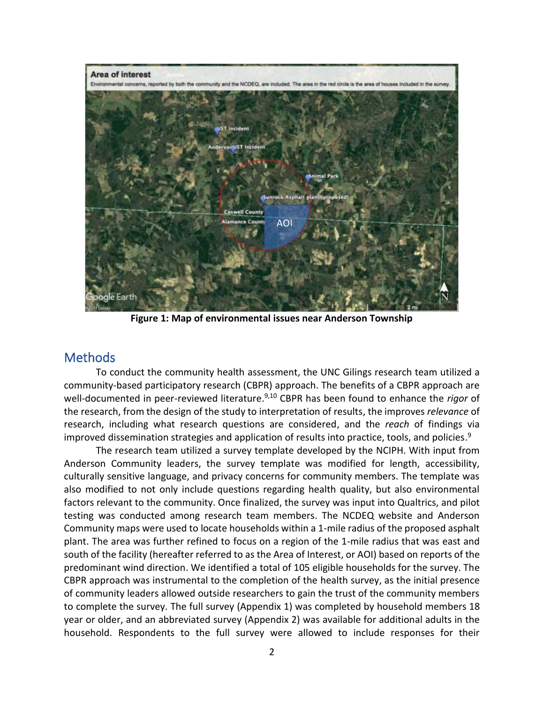

**Figure 1: Map of environmental issues near Anderson Township**

## <span id="page-3-1"></span><span id="page-3-0"></span>**Methods**

To conduct the community health assessment, the UNC Gilings research team utilized a community-based participatory research (CBPR) approach. The benefits of a CBPR approach are well-documented in peer-reviewed literature. 9,10 CBPR has been found to enhance the *rigor* of the research, from the design of the study to interpretation of results, the improves *relevance* of research, including what research questions are considered, and the *reach* of findings via improved dissemination strategies and application of results into practice, tools, and policies.<sup>9</sup>

The research team utilized a survey template developed by the NCIPH. With input from Anderson Community leaders, the survey template was modified for length, accessibility, culturally sensitive language, and privacy concerns for community members. The template was also modified to not only include questions regarding health quality, but also environmental factors relevant to the community. Once finalized, the survey was input into Qualtrics, and pilot testing was conducted among research team members. The NCDEQ website and Anderson Community maps were used to locate households within a 1-mile radius of the proposed asphalt plant. The area was further refined to focus on a region of the 1-mile radius that was east and south of the facility (hereafter referred to as the Area of Interest, or AOI) based on reports of the predominant wind direction. We identified a total of 105 eligible households for the survey. The CBPR approach was instrumental to the completion of the health survey, as the initial presence of community leaders allowed outside researchers to gain the trust of the community members to complete the survey. The full survey (Appendix 1) was completed by household members 18 year or older, and an abbreviated survey (Appendix 2) was available for additional adults in the household. Respondents to the full survey were allowed to include responses for their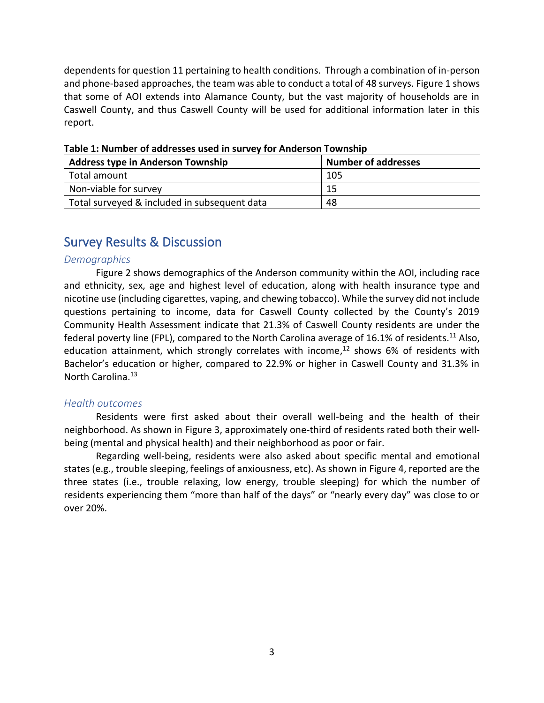dependents for question 11 pertaining to health conditions. Through a combination of in-person and phone-based approaches, the team was able to conduct a total of 48 surveys. Figure 1 shows that some of AOI extends into Alamance County, but the vast majority of households are in Caswell County, and thus Caswell County will be used for additional information later in this report.

| Address type in Anderson Township            | <b>Number of addresses</b> |
|----------------------------------------------|----------------------------|
| Total amount                                 | 105                        |
| Non-viable for survey                        | 15                         |
| Total surveyed & included in subsequent data | 48                         |

<span id="page-4-3"></span>**Table 1: Number of addresses used in survey for Anderson Township**

# <span id="page-4-0"></span>Survey Results & Discussion

#### <span id="page-4-1"></span>*Demographics*

Figure 2 shows demographics of the Anderson community within the AOI, including race and ethnicity, sex, age and highest level of education, along with health insurance type and nicotine use (including cigarettes, vaping, and chewing tobacco). While the survey did not include questions pertaining to income, data for Caswell County collected by the County's 2019 Community Health Assessment indicate that 21.3% of Caswell County residents are under the federal poverty line (FPL), compared to the North Carolina average of 16.1% of residents.<sup>11</sup> Also, education attainment, which strongly correlates with income,<sup>12</sup> shows 6% of residents with Bachelor's education or higher, compared to 22.9% or higher in Caswell County and 31.3% in North Carolina. 13

#### <span id="page-4-2"></span>*Health outcomes*

Residents were first asked about their overall well-being and the health of their neighborhood. As shown in Figure 3, approximately one-third of residents rated both their wellbeing (mental and physical health) and their neighborhood as poor or fair.

Regarding well-being, residents were also asked about specific mental and emotional states (e.g., trouble sleeping, feelings of anxiousness, etc). As shown in Figure 4, reported are the three states (i.e., trouble relaxing, low energy, trouble sleeping) for which the number of residents experiencing them "more than half of the days" or "nearly every day" was close to or over 20%.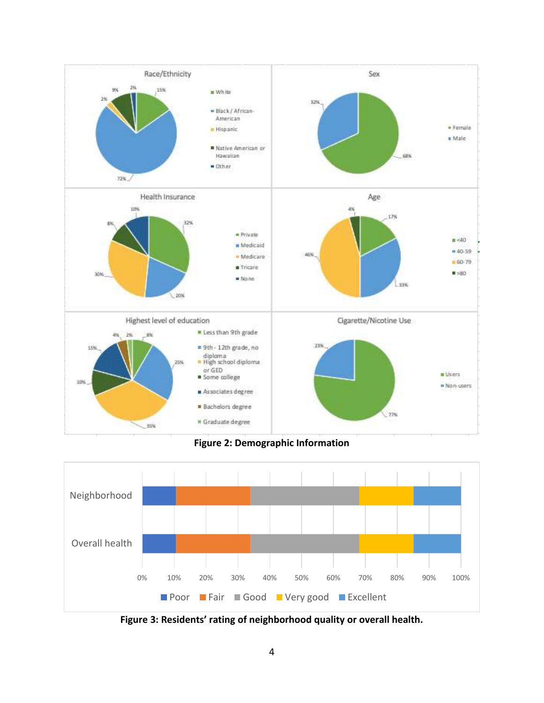

**Figure 2: Demographic Information**

<span id="page-5-0"></span>

<span id="page-5-1"></span>**Figure 3: Residents' rating of neighborhood quality or overall health.**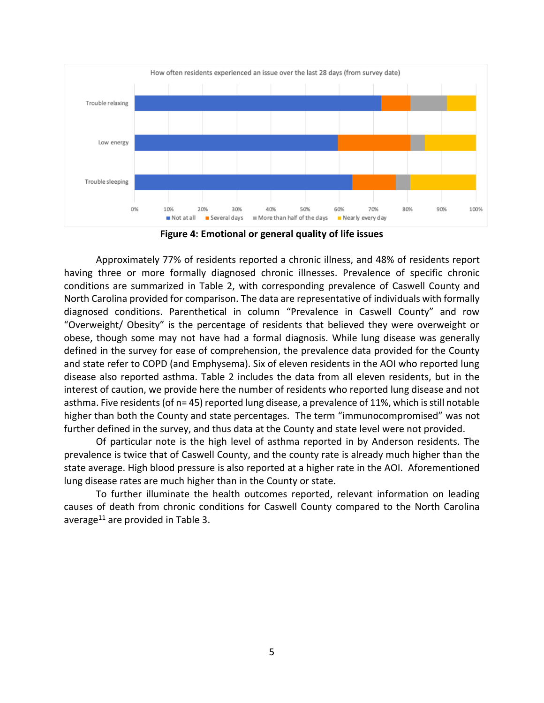

**Figure 4: Emotional or general quality of life issues**

<span id="page-6-0"></span>Approximately 77% of residents reported a chronic illness, and 48% of residents report having three or more formally diagnosed chronic illnesses. Prevalence of specific chronic conditions are summarized in Table 2, with corresponding prevalence of Caswell County and North Carolina provided for comparison. The data are representative of individuals with formally diagnosed conditions. Parenthetical in column "Prevalence in Caswell County" and row "Overweight/ Obesity" is the percentage of residents that believed they were overweight or obese, though some may not have had a formal diagnosis. While lung disease was generally defined in the survey for ease of comprehension, the prevalence data provided for the County and state refer to COPD (and Emphysema). Six of eleven residents in the AOI who reported lung disease also reported asthma. Table 2 includes the data from all eleven residents, but in the interest of caution, we provide here the number of residents who reported lung disease and not asthma. Five residents(of n= 45) reported lung disease, a prevalence of 11%, which is still notable higher than both the County and state percentages. The term "immunocompromised" was not further defined in the survey, and thus data at the County and state level were not provided.

Of particular note is the high level of asthma reported in by Anderson residents. The prevalence is twice that of Caswell County, and the county rate is already much higher than the state average. High blood pressure is also reported at a higher rate in the AOI. Aforementioned lung disease rates are much higher than in the County or state.

<span id="page-6-1"></span>To further illuminate the health outcomes reported, relevant information on leading causes of death from chronic conditions for Caswell County compared to the North Carolina average<sup>11</sup> are provided in Table 3.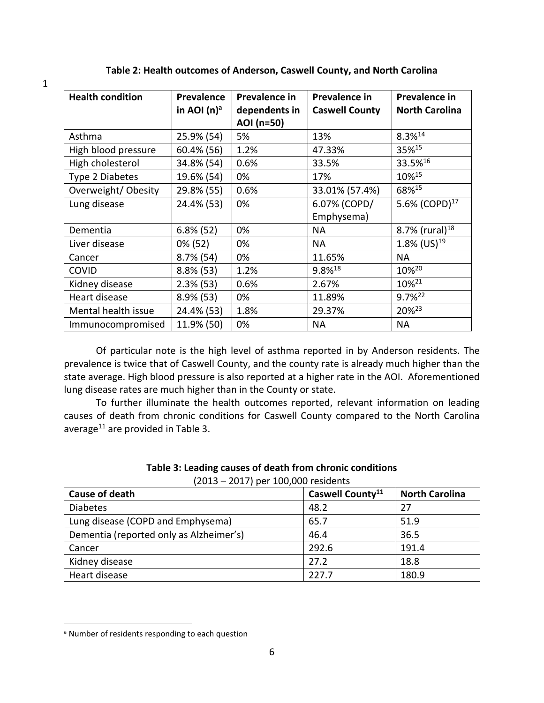| <b>Health condition</b> | Prevalence<br>in AOI $(n)^a$ | Prevalence in<br>dependents in | Prevalence in<br><b>Caswell County</b> | Prevalence in<br><b>North Carolina</b> |
|-------------------------|------------------------------|--------------------------------|----------------------------------------|----------------------------------------|
|                         |                              | AOI (n=50)                     |                                        |                                        |
| Asthma                  | 25.9% (54)                   | 5%                             | 13%                                    | $8.3\%^{14}$                           |
| High blood pressure     | 60.4% (56)                   | 1.2%                           | 47.33%                                 | 35%15                                  |
| High cholesterol        | 34.8% (54)                   | 0.6%                           | 33.5%                                  | 33.5%16                                |
| Type 2 Diabetes         | 19.6% (54)                   | 0%                             | 17%                                    | 10%15                                  |
| Overweight/ Obesity     | 29.8% (55)                   | 0.6%                           | 33.01% (57.4%)                         | 68%15                                  |
| Lung disease            | 24.4% (53)                   | 0%                             | 6.07% (COPD/                           | 5.6% (COPD) <sup>17</sup>              |
|                         |                              |                                | Emphysema)                             |                                        |
| Dementia                | $6.8\%$ (52)                 | 0%                             | NA.                                    | 8.7% (rural) $^{18}$                   |
| Liver disease           | 0% (52)                      | 0%                             | NA                                     | 1.8% (US) <sup>19</sup>                |
| Cancer                  | $8.7\%$ (54)                 | 0%                             | 11.65%                                 | <b>NA</b>                              |
| <b>COVID</b>            | $8.8\%$ (53)                 | 1.2%                           | 9.8%18                                 | 10%20                                  |
| Kidney disease          | $2.3\%$ (53)                 | 0.6%                           | 2.67%                                  | 10% <sup>21</sup>                      |
| Heart disease           | $8.9\%$ (53)                 | 0%                             | 11.89%                                 | $9.7\%^{22}$                           |
| Mental health issue     | 24.4% (53)                   | 1.8%                           | 29.37%                                 | 20% <sup>23</sup>                      |
| Immunocompromised       | 11.9% (50)                   | 0%                             | <b>NA</b>                              | <b>NA</b>                              |

**Table 2: Health outcomes of Anderson, Caswell County, and North Carolina**

Of particular note is the high level of asthma reported in by Anderson residents. The prevalence is twice that of Caswell County, and the county rate is already much higher than the state average. High blood pressure is also reported at a higher rate in the AOI. Aforementioned lung disease rates are much higher than in the County or state.

To further illuminate the health outcomes reported, relevant information on leading causes of death from chronic conditions for Caswell County compared to the North Carolina average<sup>11</sup> are provided in Table 3.

<span id="page-7-0"></span>

| <b>Cause of death</b>                   | Caswell County <sup>11</sup> | <b>North Carolina</b> |  |  |
|-----------------------------------------|------------------------------|-----------------------|--|--|
| <b>Diabetes</b>                         | 48.2                         | 27                    |  |  |
| Lung disease (COPD and Emphysema)       | 65.7                         | 51.9                  |  |  |
| Dementia (reported only as Alzheimer's) | 46.4                         | 36.5                  |  |  |
| Cancer                                  | 292.6                        | 191.4                 |  |  |
| Kidney disease                          | 27.2                         | 18.8                  |  |  |
| Heart disease                           | 227.7                        | 180.9                 |  |  |

| Table 3: Leading causes of death from chronic conditions |                                       |  |  |
|----------------------------------------------------------|---------------------------------------|--|--|
|                                                          | $(2013 - 2017)$ ner 100.000 residents |  |  |

1

a Number of residents responding to each question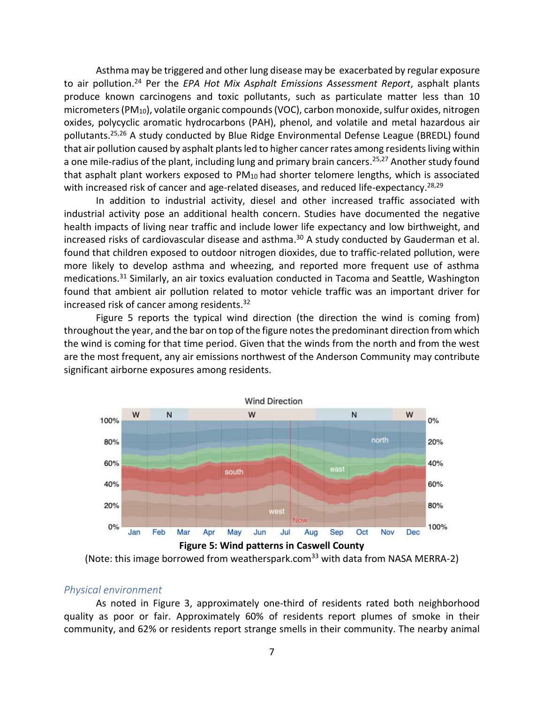Asthma may be triggered and other lung disease may be exacerbated by regular exposure to air pollution. <sup>24</sup> Per the *EPA Hot Mix Asphalt Emissions Assessment Report*, asphalt plants produce known carcinogens and toxic pollutants, such as particulate matter less than 10 micrometers (PM10), volatile organic compounds (VOC), carbon monoxide, sulfur oxides, nitrogen oxides, polycyclic aromatic hydrocarbons (PAH), phenol, and volatile and metal hazardous air pollutants. 25,26 A study conducted by Blue Ridge Environmental Defense League (BREDL) found that air pollution caused by asphalt plants led to higher cancer rates among residents living within a one mile-radius of the plant, including lung and primary brain cancers.<sup>25,27</sup> Another study found that asphalt plant workers exposed to  $PM_{10}$  had shorter telomere lengths, which is associated with increased risk of cancer and age-related diseases, and reduced life-expectancy.<sup>28,29</sup>

In addition to industrial activity, diesel and other increased traffic associated with industrial activity pose an additional health concern. Studies have documented the negative health impacts of living near traffic and include lower life expectancy and low birthweight, and increased risks of cardiovascular disease and asthma. <sup>30</sup> A study conducted by Gauderman et al. found that children exposed to outdoor nitrogen dioxides, due to traffic-related pollution, were more likely to develop asthma and wheezing, and reported more frequent use of asthma medications. <sup>31</sup> Similarly, an air toxics evaluation conducted in Tacoma and Seattle, Washington found that ambient air pollution related to motor vehicle traffic was an important driver for increased risk of cancer among residents.<sup>32</sup>

Figure 5 reports the typical wind direction (the direction the wind is coming from) throughout the year, and the bar on top of the figure notes the predominant direction from which the wind is coming for that time period. Given that the winds from the north and from the west are the most frequent, any air emissions northwest of the Anderson Community may contribute significant airborne exposures among residents.



<span id="page-8-1"></span>

#### <span id="page-8-0"></span>*Physical environment*

As noted in Figure 3, approximately one-third of residents rated both neighborhood quality as poor or fair. Approximately 60% of residents report plumes of smoke in their community, and 62% or residents report strange smells in their community. The nearby animal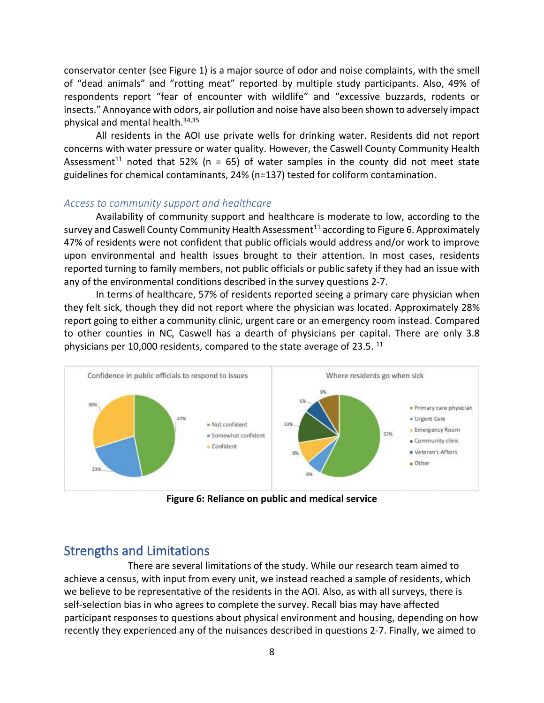conservator center (see Figure 1) is a major source of odor and noise complaints, with the smell of "dead animals" and "rotting meat" reported by multiple study participants. Also, 49% of respondents report "fear of encounter with wildlife" and "excessive buzzards, rodents or insects." Annoyance with odors, air pollution and noise have also been shown to adversely impact physical and mental health. 34,35

All residents in the AOI use private wells for drinking water. Residents did not report concerns with water pressure or water quality. However, the Caswell County Community Health Assessment<sup>11</sup> noted that 52% ( $n = 65$ ) of water samples in the county did not meet state guidelines for chemical contaminants, 24% (n=137) tested for coliform contamination.

#### <span id="page-9-0"></span>*Access to community support and healthcare*

Availability of community support and healthcare is moderate to low, according to the survey and Caswell County Community Health Assessment<sup>11</sup> according to Figure 6. Approximately 47% of residents were not confident that public officials would address and/or work to improve upon environmental and health issues brought to their attention. In most cases, residents reported turning to family members, not public officials or public safety if they had an issue with any of the environmental conditions described in the survey questions 2-7.

In terms of healthcare, 57% of residents reported seeing a primary care physician when they felt sick, though they did not report where the physician was located. Approximately 28% report going to either a community clinic, urgent care or an emergency room instead. Compared to other counties in NC, Caswell has a dearth of physicians per capital. There are only 3.8 physicians per 10,000 residents, compared to the state average of 23.5.  $^{11}$ 



**Figure 6: Reliance on public and medical service**

## <span id="page-9-2"></span><span id="page-9-1"></span>Strengths and Limitations

There are several limitations of the study. While our research team aimed to achieve a census, with input from every unit, we instead reached a sample of residents, which we believe to be representative of the residents in the AOI. Also, as with all surveys, there is self-selection bias in who agrees to complete the survey. Recall bias may have affected participant responses to questions about physical environment and housing, depending on how recently they experienced any of the nuisances described in questions 2-7. Finally, we aimed to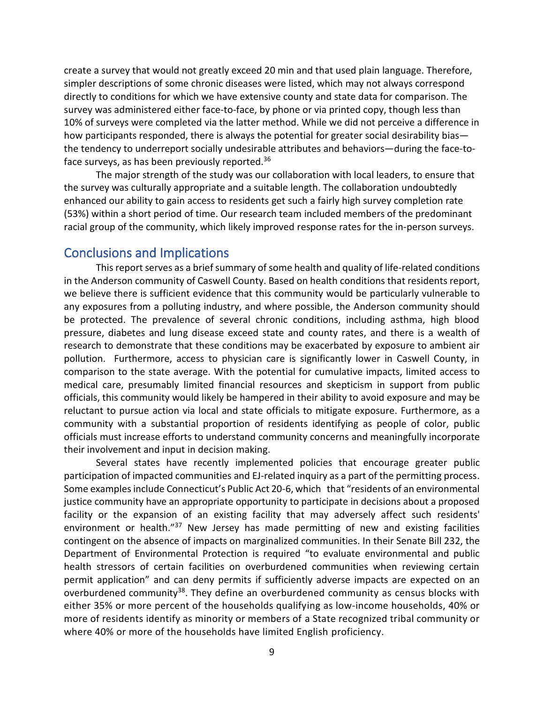create a survey that would not greatly exceed 20 min and that used plain language. Therefore, simpler descriptions of some chronic diseases were listed, which may not always correspond directly to conditions for which we have extensive county and state data for comparison. The survey was administered either face-to-face, by phone or via printed copy, though less than 10% of surveys were completed via the latter method. While we did not perceive a difference in how participants responded, there is always the potential for greater social desirability bias the tendency to underreport socially undesirable attributes and behaviors—during the face-toface surveys, as has been previously reported.<sup>36</sup>

The major strength of the study was our collaboration with local leaders, to ensure that the survey was culturally appropriate and a suitable length. The collaboration undoubtedly enhanced our ability to gain access to residents get such a fairly high survey completion rate (53%) within a short period of time. Our research team included members of the predominant racial group of the community, which likely improved response rates for the in-person surveys.

## <span id="page-10-0"></span>Conclusions and Implications

This report serves as a brief summary of some health and quality of life-related conditions in the Anderson community of Caswell County. Based on health conditions that residents report, we believe there is sufficient evidence that this community would be particularly vulnerable to any exposures from a polluting industry, and where possible, the Anderson community should be protected. The prevalence of several chronic conditions, including asthma, high blood pressure, diabetes and lung disease exceed state and county rates, and there is a wealth of research to demonstrate that these conditions may be exacerbated by exposure to ambient air pollution. Furthermore, access to physician care is significantly lower in Caswell County, in comparison to the state average. With the potential for cumulative impacts, limited access to medical care, presumably limited financial resources and skepticism in support from public officials, this community would likely be hampered in their ability to avoid exposure and may be reluctant to pursue action via local and state officials to mitigate exposure. Furthermore, as a community with a substantial proportion of residents identifying as people of color, public officials must increase efforts to understand community concerns and meaningfully incorporate their involvement and input in decision making.

Several states have recently implemented policies that encourage greater public participation of impacted communities and EJ-related inquiry as a part of the permitting process. Some examples include Connecticut's Public Act 20-6, which that "residents of an environmental justice community have an appropriate opportunity to participate in decisions about a proposed facility or the expansion of an existing facility that may adversely affect such residents' environment or health."<sup>37</sup> New Jersey has made permitting of new and existing facilities contingent on the absence of impacts on marginalized communities. In their Senate Bill 232, the Department of Environmental Protection is required "to evaluate environmental and public health stressors of certain facilities on overburdened communities when reviewing certain permit application" and can deny permits if sufficiently adverse impacts are expected on an overburdened community<sup>38</sup>. They define an overburdened community as census blocks with either 35% or more percent of the households qualifying as low-income households, 40% or more of residents identify as minority or members of a State recognized tribal community or where 40% or more of the households have limited English proficiency.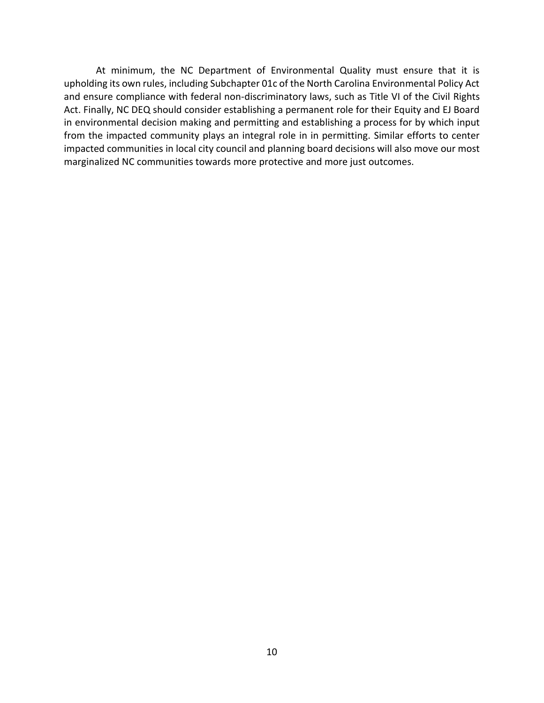At minimum, the NC Department of Environmental Quality must ensure that it is upholding its own rules, including Subchapter 01c of the North Carolina Environmental Policy Act and ensure compliance with federal non-discriminatory laws, such as Title VI of the Civil Rights Act. Finally, NC DEQ should consider establishing a permanent role for their Equity and EJ Board in environmental decision making and permitting and establishing a process for by which input from the impacted community plays an integral role in in permitting. Similar efforts to center impacted communities in local city council and planning board decisions will also move our most marginalized NC communities towards more protective and more just outcomes.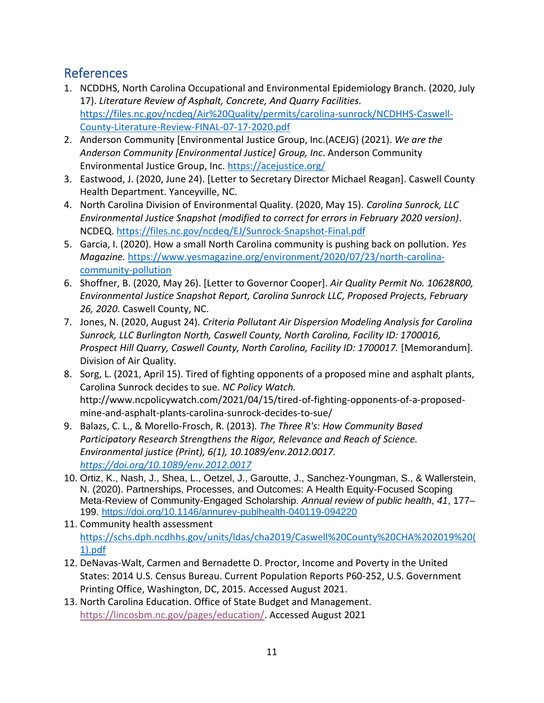# <span id="page-12-0"></span>References

- 1. NCDDHS, North Carolina Occupational and Environmental Epidemiology Branch. (2020, July 17). *Literature Review of Asphalt, Concrete, And Quarry Facilities.*  [https://files.nc.gov/ncdeq/Air%20Quality/permits/carolina-sunrock/NCDHHS-Caswell-](https://files.nc.gov/ncdeq/Air%20Quality/permits/carolina-sunrock/NCDHHS-Caswell-County-Literature-Review-FINAL-07-17-2020.pdf)[County-Literature-Review-FINAL-07-17-2020.pdf](https://files.nc.gov/ncdeq/Air%20Quality/permits/carolina-sunrock/NCDHHS-Caswell-County-Literature-Review-FINAL-07-17-2020.pdf)
- 2. Anderson Community [Environmental Justice Group, Inc.(ACEJG) (2021). *We are the Anderson Community [Environmental Justice] Group, Inc*. Anderson Community Environmental Justice Group, Inc.<https://acejustice.org/>
- 3. Eastwood, J. (2020, June 24). [Letter to Secretary Director Michael Reagan]. Caswell County Health Department. Yanceyville, NC.
- 4. North Carolina Division of Environmental Quality. (2020, May 15). *Carolina Sunrock, LLC Environmental Justice Snapshot (modified to correct for errors in February 2020 version)*. NCDEQ.<https://files.nc.gov/ncdeq/EJ/Sunrock-Snapshot-Final.pdf>
- 5. Garcia, I. (2020). How a small North Carolina community is pushing back on pollution. *Yes Magazine.* [https://www.yesmagazine.org/environment/2020/07/23/north-carolina](https://www.yesmagazine.org/environment/2020/07/23/north-carolina-community-pollution)[community-pollution](https://www.yesmagazine.org/environment/2020/07/23/north-carolina-community-pollution)
- 6. Shoffner, B. (2020, May 26). [Letter to Governor Cooper]. *Air Quality Permit No. 10628R00, Environmental Justice Snapshot Report, Carolina Sunrock LLC, Proposed Projects, February 26, 2020*. Caswell County, NC.
- 7. Jones, N. (2020, August 24). *Criteria Pollutant Air Dispersion Modeling Analysis for Carolina Sunrock, LLC Burlington North, Caswell County, North Carolina, Facility ID: 1700016, Prospect Hill Quarry, Caswell County, North Carolina, Facility ID: 1700017.* [Memorandum]. Division of Air Quality.
- 8. Sorg, L. (2021, April 15). Tired of fighting opponents of a proposed mine and asphalt plants, Carolina Sunrock decides to sue. *NC Policy Watch.*  http://www.ncpolicywatch.com/2021/04/15/tired-of-fighting-opponents-of-a-proposedmine-and-asphalt-plants-carolina-sunrock-decides-to-sue/
- 9. Balazs, C. L., & Morello-Frosch, R. (2013)*. The Three R's: How Community Based Participatory Research Strengthens the Rigor, Relevance and Reach of Science. Environmental justice (Print), 6(1), 10.1089/env.2012.0017. <https://doi.org/10.1089/env.2012.0017>*
- 10. Ortiz, K., Nash, J., Shea, L., Oetzel, J., Garoutte, J., Sanchez-Youngman, S., & Wallerstein, N. (2020). Partnerships, Processes, and Outcomes: A Health Equity-Focused Scoping Meta-Review of Community-Engaged Scholarship. *Annual review of public health*, *41*, 177– 199.<https://doi.org/10.1146/annurev-publhealth-040119-094220>
- 11. Community health assessment [https://schs.dph.ncdhhs.gov/units/ldas/cha2019/Caswell%20County%20CHA%202019%20\(](https://schs.dph.ncdhhs.gov/units/ldas/cha2019/Caswell%20County%20CHA%202019%20(1).pdf) [1\).pdf](https://schs.dph.ncdhhs.gov/units/ldas/cha2019/Caswell%20County%20CHA%202019%20(1).pdf)
- 12. DeNavas-Walt, Carmen and Bernadette D. Proctor, [Income and Poverty in the United](http://dataverse.ucdavis.edu/dvn/dv/CPR/faces/study/StudyPage.xhtml?globalId=hdl:SSDS/11315)  [States: 2014](http://dataverse.ucdavis.edu/dvn/dv/CPR/faces/study/StudyPage.xhtml?globalId=hdl:SSDS/11315) U.S. Census Bureau. Current Population Reports P60-252, U.S. Government Printing Office, Washington, DC, 2015. Accessed August 2021.
- 13. North Carolina Education. Office of State Budget and Management. [https://lincosbm.nc.gov/pages/education/.](https://lincosbm.nc.gov/pages/education/) Accessed August 2021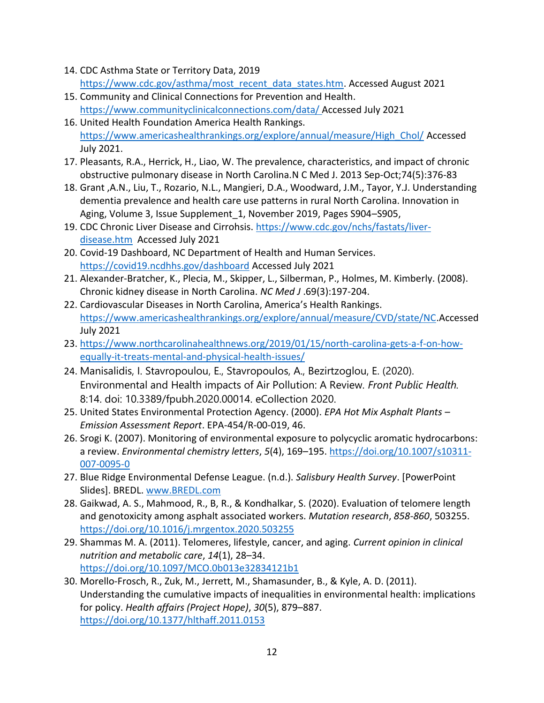- 14. CDC Asthma State or Territory Data, 2019 [https://www.cdc.gov/asthma/most\\_recent\\_data\\_states.htm.](https://www.cdc.gov/asthma/most_recent_data_states.htm) Accessed August 2021
- 15. Community and Clinical Connections for Prevention and Health. <https://www.communityclinicalconnections.com/data/> Accessed July 2021
- 16. United Health Foundation America Health Rankings. [https://www.americashealthrankings.org/explore/annual/measure/High\\_Chol/](https://www.americashealthrankings.org/explore/annual/measure/High_Chol/) Accessed July 2021.
- 17. Pleasants, R.A., Herrick, H., Liao, W. The prevalence, characteristics, and impact of chronic obstructive pulmonary disease in North Carolina.N C Med J. 2013 Sep-Oct;74(5):376-83
- 18. Grant ,A.N., Liu, T., Rozario, N.L., Mangieri, D.A., Woodward, J.M., Tayor, Y.J. Understanding dementia prevalence and health care use patterns in rural North Carolina. Innovation in Aging, Volume 3, Issue Supplement\_1, November 2019, Pages S904–S905,
- 19. CDC Chronic Liver Disease and Cirrohsis. [https://www.cdc.gov/nchs/fastats/liver](https://www.cdc.gov/nchs/fastats/liver-disease.htm)[disease.htm](https://www.cdc.gov/nchs/fastats/liver-disease.htm) Accessed July 2021
- 20. Covid-19 Dashboard, NC Department of Health and Human Services. <https://covid19.ncdhhs.gov/dashboard> Accessed July 2021
- 21. Alexander-Bratcher, K., Plecia, M., Skipper, L., Silberman, P., Holmes, M. Kimberly. (2008). Chronic kidney disease in North Carolina. *NC Med J* .69(3):197-204.
- 22. Cardiovascular Diseases in North Carolina, America's Health Rankings. [https://www.americashealthrankings.org/explore/annual/measure/CVD/state/NC.](https://www.americashealthrankings.org/explore/annual/measure/CVD/state/NC)Accessed July 2021
- 23. [https://www.northcarolinahealthnews.org/2019/01/15/north-carolina-gets-a-f-on-how](https://www.northcarolinahealthnews.org/2019/01/15/north-carolina-gets-a-f-on-how-equally-it-treats-mental-and-physical-health-issues/)[equally-it-treats-mental-and-physical-health-issues/](https://www.northcarolinahealthnews.org/2019/01/15/north-carolina-gets-a-f-on-how-equally-it-treats-mental-and-physical-health-issues/)
- 24. Manisalidis, I. Stavropoulou, E., Stavropoulos, A., Bezirtzoglou, E. (2020). Environmental and Health impacts of Air Pollution: A Review. *Front Public Health.* 8:14. doi: 10.3389/fpubh.2020.00014. eCollection 2020.
- 25. United States Environmental Protection Agency. (2000). *EPA Hot Mix Asphalt Plants – Emission Assessment Report*. EPA-454/R-00-019, 46.
- 26. Srogi K. (2007). Monitoring of environmental exposure to polycyclic aromatic hydrocarbons: a review. *Environmental chemistry letters*, *5*(4), 169–195. [https://doi.org/10.1007/s10311-](https://doi.org/10.1007/s10311-007-0095-0) [007-0095-0](https://doi.org/10.1007/s10311-007-0095-0)
- 27. Blue Ridge Environmental Defense League. (n.d.). *Salisbury Health Survey*. [PowerPoint Slides]. BREDL. [www.BREDL.com](http://www.bredl.com/)
- 28. Gaikwad, A. S., Mahmood, R., B, R., & Kondhalkar, S. (2020). Evaluation of telomere length and genotoxicity among asphalt associated workers. *Mutation research*, *858-860*, 503255. <https://doi.org/10.1016/j.mrgentox.2020.503255>
- 29. Shammas M. A. (2011). Telomeres, lifestyle, cancer, and aging. *Current opinion in clinical nutrition and metabolic care*, *14*(1), 28–34. <https://doi.org/10.1097/MCO.0b013e32834121b1>
- 30. Morello-Frosch, R., Zuk, M., Jerrett, M., Shamasunder, B., & Kyle, A. D. (2011). Understanding the cumulative impacts of inequalities in environmental health: implications for policy. *Health affairs (Project Hope)*, *30*(5), 879–887. <https://doi.org/10.1377/hlthaff.2011.0153>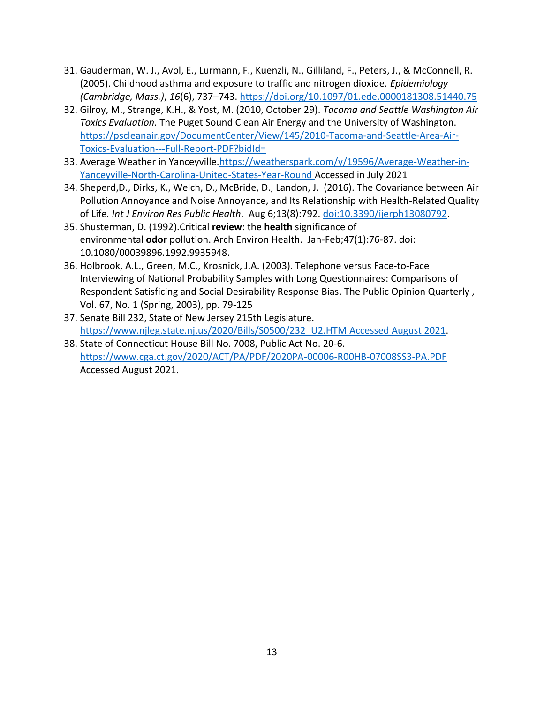- 31. Gauderman, W. J., Avol, E., Lurmann, F., Kuenzli, N., Gilliland, F., Peters, J., & McConnell, R. (2005). Childhood asthma and exposure to traffic and nitrogen dioxide. *Epidemiology (Cambridge, Mass.)*, *16*(6), 737–743.<https://doi.org/10.1097/01.ede.0000181308.51440.75>
- 32. Gilroy, M., Strange, K.H., & Yost, M. (2010, October 29). *Tacoma and Seattle Washington Air Toxics Evaluation.* The Puget Sound Clean Air Energy and the University of Washington. [https://pscleanair.gov/DocumentCenter/View/145/2010-Tacoma-and-Seattle-Area-Air-](https://pscleanair.gov/DocumentCenter/View/145/2010-Tacoma-and-Seattle-Area-Air-Toxics-Evaluation---Full-Report-PDF?bidId=)[Toxics-Evaluation---Full-Report-PDF?bidId=](https://pscleanair.gov/DocumentCenter/View/145/2010-Tacoma-and-Seattle-Area-Air-Toxics-Evaluation---Full-Report-PDF?bidId=)
- 33. Average Weather in Yanceyville[.https://weatherspark.com/y/19596/Average-Weather-in-](https://weatherspark.com/y/19596/Average-Weather-in-Yanceyville-North-Carolina-United-States-Year-Round)[Yanceyville-North-Carolina-United-States-Year-Round](https://weatherspark.com/y/19596/Average-Weather-in-Yanceyville-North-Carolina-United-States-Year-Round) Accessed in July 2021
- 34. Sheperd,D., Dirks, K., Welch, D., McBride, D., Landon, J. (2016). The Covariance between Air Pollution Annoyance and Noise Annoyance, and Its Relationship with Health-Related Quality of Life*. Int J Environ Res Public Health*. Aug 6;13(8):792. [doi:10.3390/ijerph13080792.](doi:%2010.3390/ijerph13080792.)
- 35. Shusterman, D. (1992).Critical **review**: the **health** [significance of](https://pubmed.ncbi.nlm.nih.gov/1540008/)  [environmental](https://pubmed.ncbi.nlm.nih.gov/1540008/) **odor** pollution. Arch Environ Health. Jan-Feb;47(1):76-87. doi: 10.1080/00039896.1992.9935948.
- 36. Holbrook, A.L., Green, M.C., Krosnick, J.A. (2003). Telephone versus Face-to-Face Interviewing of National Probability Samples with Long Questionnaires: Comparisons of Respondent Satisficing and Social Desirability Response Bias. The Public Opinion Quarterly , Vol. 67, No. 1 (Spring, 2003), pp. 79-125
- 37. Senate Bill 232, State of New Jersey 215th Legislature. [https://www.njleg.state.nj.us/2020/Bills/S0500/232\\_U2.HTM](https://www.njleg.state.nj.us/2020/Bills/S0500/232_U2.HTM%20Accessed%20August%202021) Accessed August 2021.
- 38. State of Connecticut House Bill No. 7008, Public Act No. 20-6. <https://www.cga.ct.gov/2020/ACT/PA/PDF/2020PA-00006-R00HB-07008SS3-PA.PDF> Accessed August 2021.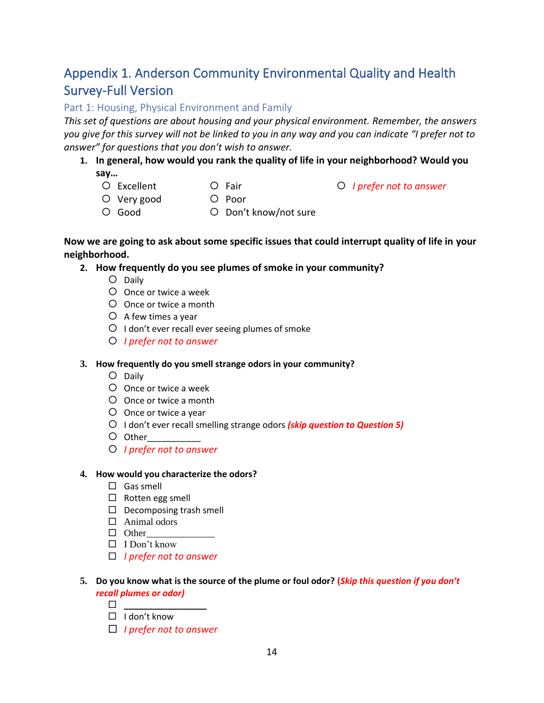# <span id="page-15-0"></span>Appendix 1. Anderson Community Environmental Quality and Health Survey-Full Version

### Part 1: Housing, Physical Environment and Family

*This set of questions are about housing and your physical environment. Remember, the answers you give for this survey will not be linked to you in any way and you can indicate "I prefer not to answer" for questions that you don't wish to answer.* 

## **1. In general, how would you rank the quality of life in your neighborhood? Would you say…**

O Excellent

O Fair

*I prefer not to answer*

- Very good
- O Poor
- Good O Don't know/not sure

### **Now we are going to ask about some specific issues that could interrupt quality of life in your neighborhood.**

### **2. How frequently do you see plumes of smoke in your community?**

- O Daily
- Once or twice a week
- Once or twice a month
- $O$  A few times a year
- $O$  I don't ever recall ever seeing plumes of smoke
- *I prefer not to answer*

### **3. How frequently do you smell strange odors in your community?**

- O Daily
- Once or twice a week
- Once or twice a month
- Once or twice a year
- I don't ever recall smelling strange odors *(skip question to Question 5)*
- Other\_\_\_\_\_\_\_\_\_\_\_
- *I prefer not to answer*

#### **4. How would you characterize the odors?**

- $\Box$  Gas smell
- $\square$  Rotten egg smell
- $\square$  Decomposing trash smell
- □ Animal odors
- $\Box$  Other
- $\Box$  I Don't know
- *I prefer not to answer*

#### **5. Do you know what is the source of the plume or foul odor? (***Skip this question if you don't recall plumes or odor)*

- **\_\_\_\_\_\_\_\_\_\_\_\_\_\_\_\_\_**
- $\Box$  I don't know
- *I prefer not to answer*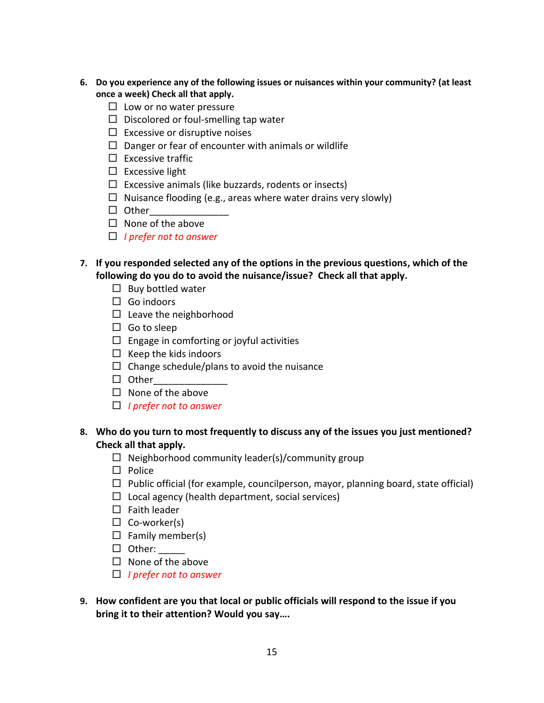- **6. Do you experience any of the following issues or nuisances within your community? (at least once a week) Check all that apply.** 
	- $\square$  Low or no water pressure
	- $\Box$  Discolored or foul-smelling tap water
	- $\Box$  Excessive or disruptive noises
	- $\square$  Danger or fear of encounter with animals or wildlife
	- $\square$  Excessive traffic
	- $\square$  Excessive light
	- $\Box$  Excessive animals (like buzzards, rodents or insects)
	- $\Box$  Nuisance flooding (e.g., areas where water drains very slowly)
	- $\Box$  Other
	- $\Box$  None of the above
	- *I prefer not to answer*
- **7. If you responded selected any of the options in the previous questions, which of the following do you do to avoid the nuisance/issue? Check all that apply.**
	- $\square$  Buy bottled water
	- $\Box$  Go indoors
	- $\Box$  Leave the neighborhood
	- $\Box$  Go to sleep
	- $\Box$  Engage in comforting or joyful activities
	- $\Box$  Keep the kids indoors
	- $\Box$  Change schedule/plans to avoid the nuisance
	- $\Box$  Other
	- $\Box$  None of the above
	- *I prefer not to answer*

#### **8. Who do you turn to most frequently to discuss any of the issues you just mentioned? Check all that apply.**

- $\Box$  Neighborhood community leader(s)/community group
- $\Box$  Police
- $\Box$  Public official (for example, councilperson, mayor, planning board, state official)
- $\Box$  Local agency (health department, social services)
- $\square$  Faith leader
- $\Box$  Co-worker(s)
- $\Box$  Family member(s)
- $\Box$  Other: \_\_\_\_\_\_\_
- $\square$  None of the above
- *I prefer not to answer*
- **9. How confident are you that local or public officials will respond to the issue if you bring it to their attention? Would you say….**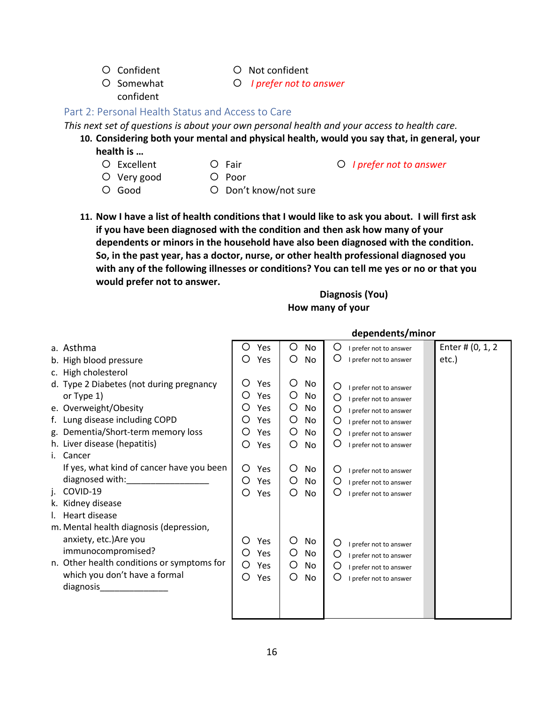- Confident
- Not confident
- O Somewhat confident *I prefer not to answer*

## Part 2: Personal Health Status and Access to Care

*This next set of questions is about your own personal health and your access to health care.* 

- **10. Considering both your mental and physical health, would you say that, in general, your health is …** 
	- O Excellent
- O Fair

*I prefer not to answer*

- Very good
- O Poor
- O Good
- O Don't know/not sure
- 
- **11. Now I have a list of health conditions that I would like to ask you about. I will first ask if you have been diagnosed with the condition and then ask how many of your dependents or minors in the household have also been diagnosed with the condition. So, in the past year, has a doctor, nurse, or other health professional diagnosed you with any of the following illnesses or conditions? You can tell me yes or no or that you would prefer not to answer.**

## **Diagnosis (You) How many of your**

|                                                                                                                | dependents/minor        |         |                             |                  |  |  |  |
|----------------------------------------------------------------------------------------------------------------|-------------------------|---------|-----------------------------|------------------|--|--|--|
| a. Asthma                                                                                                      | Yes<br>Ő                | O<br>No | O<br>I prefer not to answer | Enter # (0, 1, 2 |  |  |  |
| b. High blood pressure                                                                                         | ◯<br>Yes                | O<br>No | O<br>I prefer not to answer | etc.)            |  |  |  |
| c. High cholesterol                                                                                            |                         |         |                             |                  |  |  |  |
| d. Type 2 Diabetes (not during pregnancy                                                                       | O<br>Yes                | O<br>No | Ő<br>I prefer not to answer |                  |  |  |  |
| or Type 1)                                                                                                     | O<br>Yes                | O<br>No | O<br>I prefer not to answer |                  |  |  |  |
| e. Overweight/Obesity                                                                                          | Yes                     | O<br>No | O<br>I prefer not to answer |                  |  |  |  |
| f. Lung disease including COPD                                                                                 | Yes                     | O<br>No | O<br>I prefer not to answer |                  |  |  |  |
| g. Dementia/Short-term memory loss                                                                             | Yes                     | O<br>No | O<br>I prefer not to answer |                  |  |  |  |
| h. Liver disease (hepatitis)                                                                                   | O<br>Yes                | O<br>No | O<br>I prefer not to answer |                  |  |  |  |
| i. Cancer                                                                                                      |                         |         |                             |                  |  |  |  |
| If yes, what kind of cancer have you been                                                                      | Ω<br>Yes                | Ο<br>No | Ő<br>I prefer not to answer |                  |  |  |  |
| diagnosed with: National Contract of the Contract of the Contract of the Contract of the Contract of the Contr | O<br>Yes                | O<br>No | O<br>I prefer not to answer |                  |  |  |  |
| COVID-19<br>j.                                                                                                 | ◯<br>Yes                | O<br>No | O<br>I prefer not to answer |                  |  |  |  |
| k. Kidney disease                                                                                              |                         |         |                             |                  |  |  |  |
| I. Heart disease                                                                                               |                         |         |                             |                  |  |  |  |
| m. Mental health diagnosis (depression,                                                                        |                         |         |                             |                  |  |  |  |
| anxiety, etc.) Are you                                                                                         | O<br>Yes                | O<br>No | O<br>I prefer not to answer |                  |  |  |  |
| immunocompromised?                                                                                             | Yes<br>$\left( \right)$ | O<br>No | O<br>I prefer not to answer |                  |  |  |  |
| n. Other health conditions or symptoms for                                                                     | O<br>Yes                | O<br>No | O<br>I prefer not to answer |                  |  |  |  |
| which you don't have a formal                                                                                  | O<br>Yes                | O<br>No | O<br>I prefer not to answer |                  |  |  |  |
| diagnosis                                                                                                      |                         |         |                             |                  |  |  |  |
|                                                                                                                |                         |         |                             |                  |  |  |  |
|                                                                                                                |                         |         |                             |                  |  |  |  |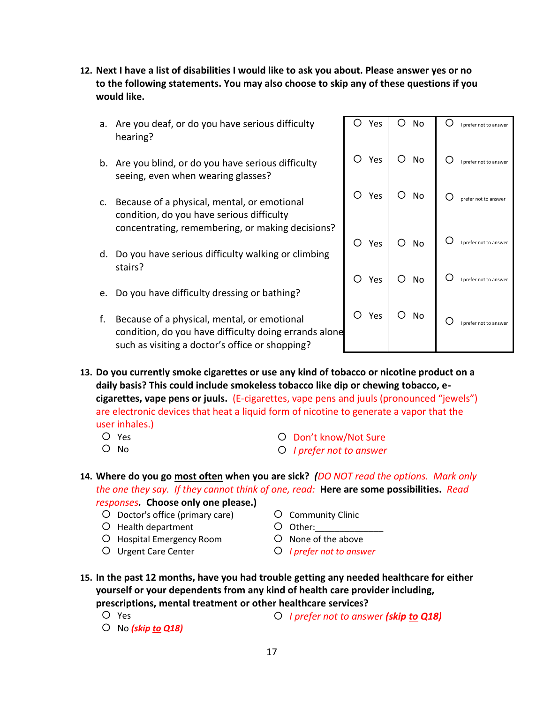**12. Next I have a list of disabilities I would like to ask you about. Please answer yes or no to the following statements. You may also choose to skip any of these questions if you would like.**

Yes

O No

I prefer not to answer

 $O$  I prefer not to answe

prefer not to ans

I prefer not to answer

I prefer not to answer

I prefer not to answe

O No

O No

O No

O No

O No

Yes

Yes

Yes

Yes

Yes

- a. Are you deaf, or do you have serious difficulty hearing?
- b. Are you blind, or do you have serious difficulty seeing, even when wearing glasses?
- c. Because of a physical, mental, or emotional condition, do you have serious difficulty concentrating, remembering, or making decisions?
- d. Do you have serious difficulty walking or climbing stairs?
- e. Do you have difficulty dressing or bathing?
- f. Because of a physical, mental, or emotional condition, do you have difficulty doing errands alone such as visiting a doctor's office or shopping?

**13. Do you currently smoke cigarettes or use any kind of tobacco or nicotine product on a daily basis? This could include smokeless tobacco like dip or chewing tobacco, ecigarettes, vape pens or juuls.** (E-cigarettes, vape pens and juuls (pronounced "jewels") are electronic devices that heat a liquid form of nicotine to generate a vapor that the user inhales.)

- O Yes
- O No
- Don't know/Not Sure
- *I prefer not to answer*

**14. Where do you go most often when you are sick?** *(DO NOT read the options. Mark only the one they say. If they cannot think of one, read:* **Here are some possibilities.** *Read* 

*responses.* **Choose only one please.)**

- Doctor's office (primary care)
- O Health department
- O Hospital Emergency Room
- Urgent Care Center
- Community Clinic
- O Other:
- O None of the above
- *I prefer not to answer*
- **15. In the past 12 months, have you had trouble getting any needed healthcare for either yourself or your dependents from any kind of health care provider including, prescriptions, mental treatment or other healthcare services?** 
	- Yes

*I prefer not to answer (skip to Q18)*

No *(skip to Q18)*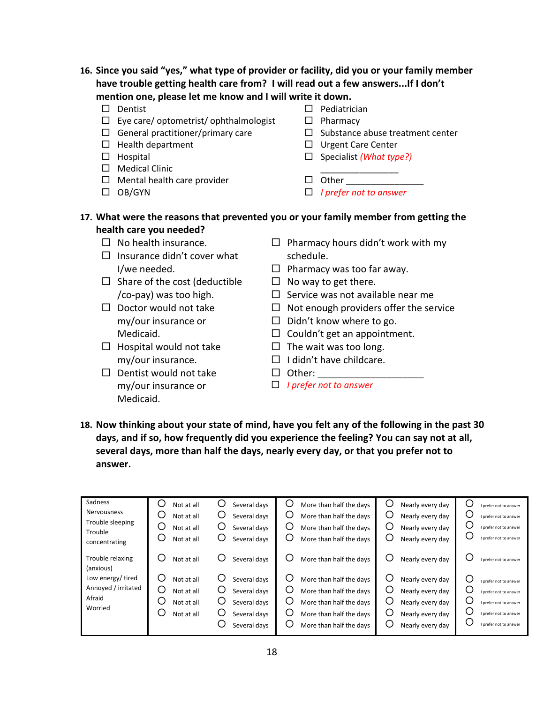- **16. Since you said "yes," what type of provider or facility, did you or your family member have trouble getting health care from? I will read out a few answers...If I don't mention one, please let me know and I will write it down.** 
	- $\square$  Dentist
	- $\Box$  Eye care/ optometrist/ ophthalmologist
	- $\Box$  General practitioner/primary care
	- $\Box$  Health department
	- $\Box$  Hospital
	- □ Medical Clinic
	- $\Box$  Mental health care provider
	- $\Box$  OB/GYN
- $\square$  Pediatrician
- $\square$  Pharmacy

 $\Box$  Other

- $\square$  Substance abuse treatment center
- □ Urgent Care Center
- □ Specialist *(What type?)* \_\_\_\_\_\_\_\_\_\_\_\_\_\_\_\_
- - *I prefer not to answer*
- **17. What were the reasons that prevented you or your family member from getting the health care you needed?** 
	- $\Box$  No health insurance.
	- $\Box$  Insurance didn't cover what I/we needed.
	- $\Box$  Share of the cost (deductible /co-pay) was too high.
	- $\Box$  Doctor would not take my/our insurance or Medicaid.
	- $\Box$  Hospital would not take my/our insurance.
	- $\Box$  Dentist would not take my/our insurance or Medicaid.
- $\Box$  Pharmacy hours didn't work with my schedule.
- $\Box$  Pharmacy was too far away.
- $\Box$  No way to get there.
- $\Box$  Service was not available near me
- $\Box$  Not enough providers offer the service
- $\Box$  Didn't know where to go.
- $\Box$  Couldn't get an appointment.
- $\Box$  The wait was too long.
- $\Box$  I didn't have childcare.
- $\Box$  Other:
- *I prefer not to answer*
- **18. Now thinking about your state of mind, have you felt any of the following in the past 30 days, and if so, how frequently did you experience the feeling? You can say not at all, several days, more than half the days, nearly every day, or that you prefer not to answer.**

| Sadness                       | Not at all | Ċ<br>Several days | O<br>More than half the days      | U<br>Nearly every day | I prefer not to answer |
|-------------------------------|------------|-------------------|-----------------------------------|-----------------------|------------------------|
| <b>Nervousness</b>            | Not at all | C<br>Several days | $\cup$<br>More than half the days | Nearly every day      | I prefer not to answer |
| Trouble sleeping<br>Trouble   | Not at all | Several davs      | More than half the days           | Nearly every day      | I prefer not to answer |
| concentrating                 | Not at all | Several days      | More than half the days           | Nearly every day      | I prefer not to answer |
| Trouble relaxing<br>(anxious) | Not at all | Several days      | More than half the days           | Nearly every day      | I prefer not to answer |
| Low energy/tired              | Not at all | Several days      | U<br>More than half the days      | Nearly every day      | I prefer not to answer |
| Annoyed / irritated           | Not at all | Several days      | More than half the days           | Nearly every day      | I prefer not to answer |
| Afraid                        | Not at all | Ċ<br>Several days | More than half the days           | Nearly every day      | I prefer not to answer |
| Worried                       | Not at all | Several davs      | U<br>More than half the days      | Nearly every day      | I prefer not to answer |
|                               |            | Several days      | More than half the days           | Nearly every day      | I prefer not to answer |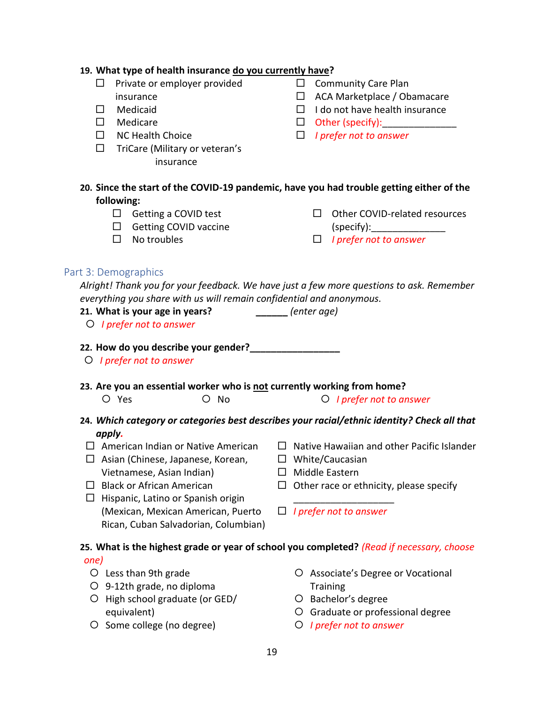#### **19. What type of health insurance do you currently have?**

- $\square$  Private or employer provided insurance
- Medicaid
- Medicare
- $\Box$  NC Health Choice
- $\Box$  TriCare (Military or veteran's insurance
- $\square$  Community Care Plan
- □ ACA Marketplace / Obamacare
- $\Box$  I do not have health insurance
- $\Box$  Other (specify):
- *I prefer not to answer*
- **20. Since the start of the COVID-19 pandemic, have you had trouble getting either of the following:**
	- $\Box$  Getting a COVID test  $\Box$  Getting COVID vaccine

□ Other COVID-related resources  $(specify):$ 

 $\Box$  No troubles

*I prefer not to answer*

#### Part 3: Demographics

*Alright! Thank you for your feedback. We have just a few more questions to ask. Remember everything you share with us will remain confidential and anonymous.* 

- **21. What is your age in years? \_\_\_\_\_\_** *(enter age)*
- *I prefer not to answer*
- **22. How do you describe your gender?\_\_\_\_\_\_\_\_\_\_\_\_\_\_\_\_\_**
- *I prefer not to answer*
- **23. Are you an essential worker who is not currently working from home?**
	- O Yes **O No** *O No**I prefer not to answer*
- 
- **24.** *Which category or categories best describes your racial/ethnic identity? Check all that apply.*
- $\Box$  American Indian or Native American
- $\Box$  Asian (Chinese, Japanese, Korean, Vietnamese, Asian Indian)
- $\Box$  Black or African American
- $\Box$  Hispanic, Latino or Spanish origin (Mexican, Mexican American, Puerto Rican, Cuban Salvadorian, Columbian)
- $\Box$  Native Hawaiian and other Pacific Islander
- □ White/Caucasian
- $\Box$  Middle Eastern
- $\Box$  Other race or ethnicity, please specify
- *I prefer not to answer*

\_\_\_\_\_\_\_\_\_\_\_\_\_\_\_\_\_\_\_

# **25. What is the highest grade or year of school you completed?** *(Read if necessary, choose*

#### *one)*

- Less than 9th grade
- 9-12th grade, no diploma
- O High school graduate (or GED/ equivalent)
- O Some college (no degree)
- Associate's Degree or Vocational **Training**
- O Bachelor's degree
- Graduate or professional degree
- *I prefer not to answer*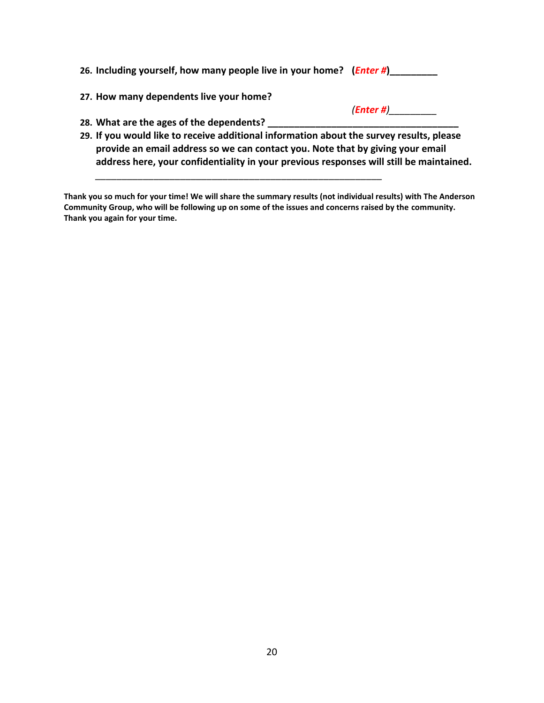| 26. Including yourself, how many people live in your home? ( <i>Enter #</i> )            |              |
|------------------------------------------------------------------------------------------|--------------|
| 27. How many dependents live your home?                                                  |              |
|                                                                                          | $(Enter \#)$ |
| 28. What are the ages of the dependents?                                                 |              |
| 29. If you would like to receive additional information about the survey results, please |              |
| provide an email address so we can contact you. Note that by giving your email           |              |
| address here, your confidentiality in your previous responses will still be maintained.  |              |

**Thank you so much for your time! We will share the summary results (not individual results) with The Anderson Community Group, who will be following up on some of the issues and concerns raised by the community. Thank you again for your time.**

*\_\_\_\_\_\_\_\_\_\_\_\_\_\_\_\_\_\_\_\_\_\_\_\_\_\_\_\_\_\_\_\_\_\_\_\_\_\_\_\_\_\_\_\_\_\_\_\_\_\_\_\_\_\_*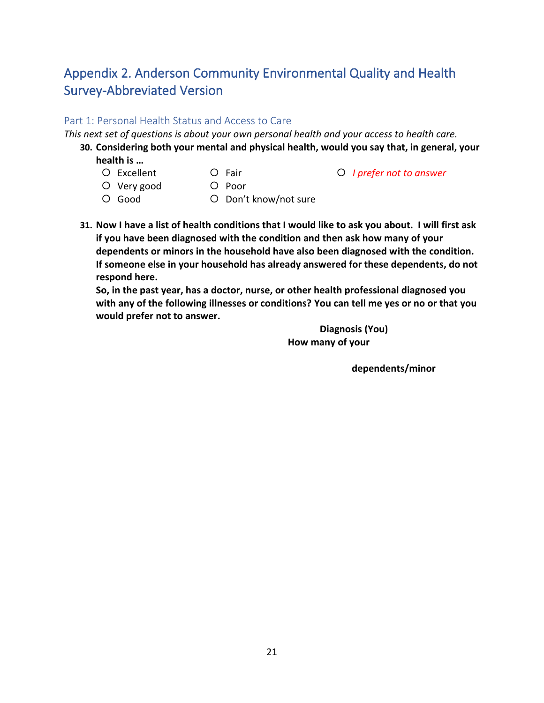# <span id="page-22-0"></span>Appendix 2. Anderson Community Environmental Quality and Health Survey-Abbreviated Version

#### Part 1: Personal Health Status and Access to Care

*This next set of questions is about your own personal health and your access to health care.* 

- **30. Considering both your mental and physical health, would you say that, in general, your health is …** 
	- O Excellent
- $O$  Fair
- Very good
- O Poor
- Good
- O Don't know/not sure
- **31. Now I have a list of health conditions that I would like to ask you about. I will first ask if you have been diagnosed with the condition and then ask how many of your dependents or minors in the household have also been diagnosed with the condition. If someone else in your household has already answered for these dependents, do not respond here.**

**So, in the past year, has a doctor, nurse, or other health professional diagnosed you with any of the following illnesses or conditions? You can tell me yes or no or that you would prefer not to answer.**

> **Diagnosis (You) How many of your**

> > **dependents/minor**

*I prefer not to answer*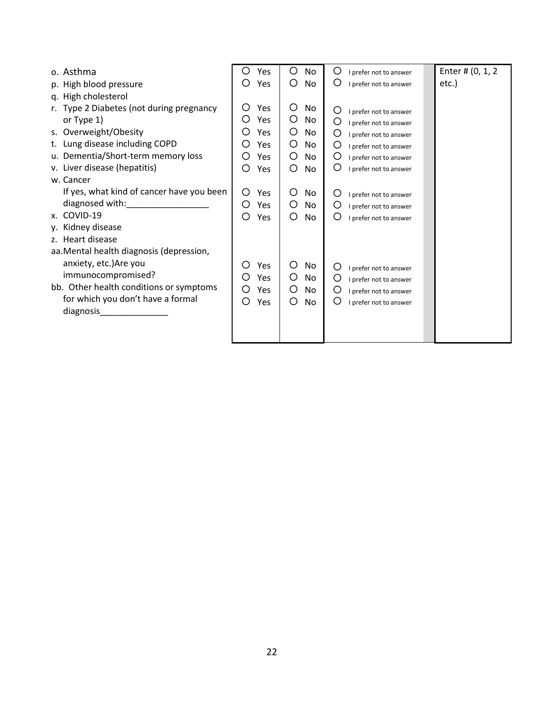| o. Asthma                                 | Yes<br>O | O<br>No | Ő<br>I prefer not to answer | Enter # (0, 1, 2 |
|-------------------------------------------|----------|---------|-----------------------------|------------------|
| p. High blood pressure                    | Yes      | O<br>No | O<br>I prefer not to answer | etc.)            |
| q. High cholesterol                       |          |         |                             |                  |
| r. Type 2 Diabetes (not during pregnancy  | Ω<br>Yes | О<br>No | O<br>I prefer not to answer |                  |
| or Type 1)                                | Yes<br>O | O<br>No | O<br>I prefer not to answer |                  |
| s. Overweight/Obesity                     | Yes<br>O | O<br>No | O<br>I prefer not to answer |                  |
| t. Lung disease including COPD            | Yes      | O<br>No | O<br>I prefer not to answer |                  |
| u. Dementia/Short-term memory loss        | Yes      | O<br>No | O<br>I prefer not to answer |                  |
| v. Liver disease (hepatitis)              | O<br>Yes | O<br>No | O<br>I prefer not to answer |                  |
| w. Cancer                                 |          |         |                             |                  |
| If yes, what kind of cancer have you been | O<br>Yes | O<br>No | Ő<br>I prefer not to answer |                  |
| diagnosed with:                           | O<br>Yes | O<br>No | O<br>I prefer not to answer |                  |
| x. COVID-19                               | O<br>Yes | O<br>No | O<br>I prefer not to answer |                  |
| y. Kidney disease                         |          |         |                             |                  |
| z. Heart disease                          |          |         |                             |                  |
| aa. Mental health diagnosis (depression,  |          |         |                             |                  |
| anxiety, etc.) Are you                    | O<br>Yes | Ο<br>No | O<br>I prefer not to answer |                  |
| immunocompromised?                        | Yes      | O<br>No | O<br>I prefer not to answer |                  |
| bb. Other health conditions or symptoms   | O<br>Yes | O<br>No | O<br>I prefer not to answer |                  |
| for which you don't have a formal         | O<br>Yes | O<br>No | O<br>I prefer not to answer |                  |
| diagnosis                                 |          |         |                             |                  |
|                                           |          |         |                             |                  |
|                                           |          |         |                             |                  |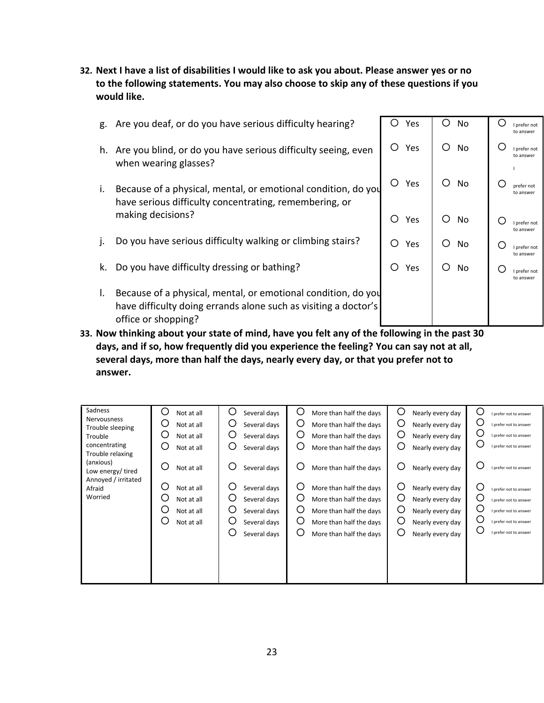**32. Next I have a list of disabilities I would like to ask you about. Please answer yes or no to the following statements. You may also choose to skip any of these questions if you would like.**

| g. | Are you deaf, or do you have serious difficulty hearing?                                                                                                | () | Yes | O                | <b>No</b> | Ω   | I prefer not<br>to answer |
|----|---------------------------------------------------------------------------------------------------------------------------------------------------------|----|-----|------------------|-----------|-----|---------------------------|
| h. | Are you blind, or do you have serious difficulty seeing, even<br>when wearing glasses?                                                                  | O  | Yes | ( )              | No.       | C   | I prefer not<br>to answer |
| i. | Because of a physical, mental, or emotional condition, do you<br>have serious difficulty concentrating, remembering, or                                 | O  | Yes | $\left( \right)$ | No        |     | prefer not<br>to answer   |
|    | making decisions?                                                                                                                                       | O  | Yes | ∩                | No        | ( ) | I prefer not<br>to answer |
| J. | Do you have serious difficulty walking or climbing stairs?                                                                                              | ∩  | Yes | ( )              | No.       |     | I prefer not<br>to answer |
| k. | Do you have difficulty dressing or bathing?                                                                                                             | O  | Yes | Ω                | No        | O   | I prefer not<br>to answer |
| I. | Because of a physical, mental, or emotional condition, do you<br>have difficulty doing errands alone such as visiting a doctor's<br>office or shopping? |    |     |                  |           |     |                           |
|    | an bet alle die bestehende eine die bestehende der der der stadt der Berling in der Belling eine Stadt der Sta                                          |    |     |                  |           |     |                           |

**33. Now thinking about your state of mind, have you felt any of the following in the past 30 days, and if so, how frequently did you experience the feeling? You can say not at all, several days, more than half the days, nearly every day, or that you prefer not to answer.**

| Sadness<br>Nervousness<br>Trouble sleeping<br>Trouble<br>concentrating<br>Trouble relaxing<br>(anxious) | O<br>Not at all<br>U<br>Not at all<br>ں<br>Not at all<br>Ő<br>Not at all               | Ő<br>Several days<br>O<br>Several days<br>O<br>Several days<br>Ő<br>Several days                                           | O<br>More than half the days<br>O<br>More than half the days<br>O<br>More than half the days<br>O<br>More than half the days                                                                 | O<br>Nearly every day<br>O<br>Nearly every day<br>O<br>Nearly every day<br>O<br>Nearly every day                                                   | О<br>I prefer not to answer<br>O<br>I prefer not to answer<br>O<br>I prefer not to answer<br>O<br>I prefer not to answer                                                               |
|---------------------------------------------------------------------------------------------------------|----------------------------------------------------------------------------------------|----------------------------------------------------------------------------------------------------------------------------|----------------------------------------------------------------------------------------------------------------------------------------------------------------------------------------------|----------------------------------------------------------------------------------------------------------------------------------------------------|----------------------------------------------------------------------------------------------------------------------------------------------------------------------------------------|
| Low energy/tired<br>Annoyed / irritated<br>Afraid<br>Worried                                            | Ő<br>Not at all<br>Ő<br>Not at all<br>Not at all<br>U<br>Not at all<br>U<br>Not at all | U<br>Several days<br>Ő<br>Several days<br>Ő<br>Several days<br>O<br>Several days<br>O<br>Several days<br>O<br>Several days | O<br>More than half the days<br>Ő<br>More than half the days<br>O<br>More than half the days<br>O<br>More than half the days<br>O<br>More than half the days<br>O<br>More than half the days | O<br>Nearly every day<br>O<br>Nearly every day<br>O<br>Nearly every day<br>O<br>Nearly every day<br>O<br>Nearly every day<br>O<br>Nearly every day | О<br>I prefer not to answer<br>Ω<br>I prefer not to answer<br>С<br>I prefer not to answer<br>U<br>I prefer not to answer<br>O<br>I prefer not to answer<br>O<br>I prefer not to answer |